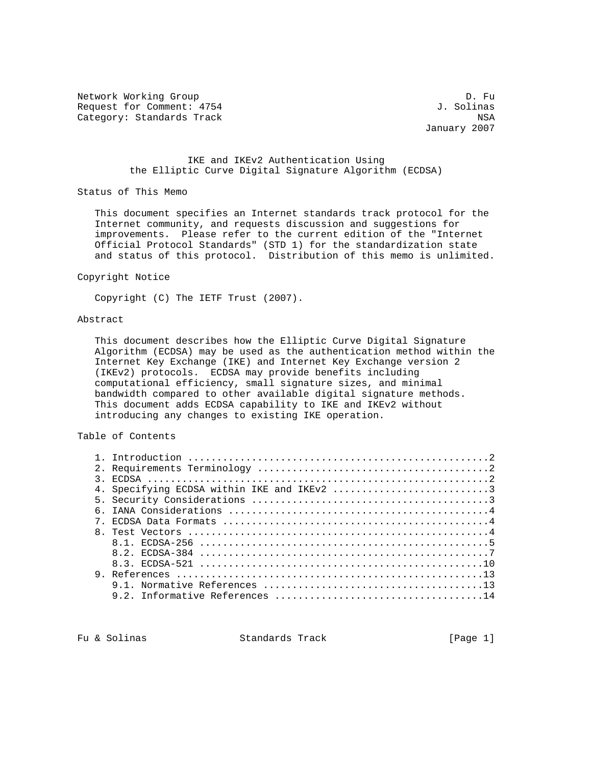Network Working Group Description of the United States of D. Fu Request for Comment: 4754 J. Solinas Category: Standards Track NSA

January 2007

## IKE and IKEv2 Authentication Using the Elliptic Curve Digital Signature Algorithm (ECDSA)

Status of This Memo

 This document specifies an Internet standards track protocol for the Internet community, and requests discussion and suggestions for improvements. Please refer to the current edition of the "Internet Official Protocol Standards" (STD 1) for the standardization state and status of this protocol. Distribution of this memo is unlimited.

Copyright Notice

Copyright (C) The IETF Trust (2007).

### Abstract

 This document describes how the Elliptic Curve Digital Signature Algorithm (ECDSA) may be used as the authentication method within the Internet Key Exchange (IKE) and Internet Key Exchange version 2 (IKEv2) protocols. ECDSA may provide benefits including computational efficiency, small signature sizes, and minimal bandwidth compared to other available digital signature methods. This document adds ECDSA capability to IKE and IKEv2 without introducing any changes to existing IKE operation.

# Table of Contents

| 4. Specifying ECDSA within IKE and IKEv2 3 |
|--------------------------------------------|
|                                            |
|                                            |
|                                            |
|                                            |
|                                            |
|                                            |
|                                            |
|                                            |
|                                            |
|                                            |

Fu & Solinas Standards Track [Page 1]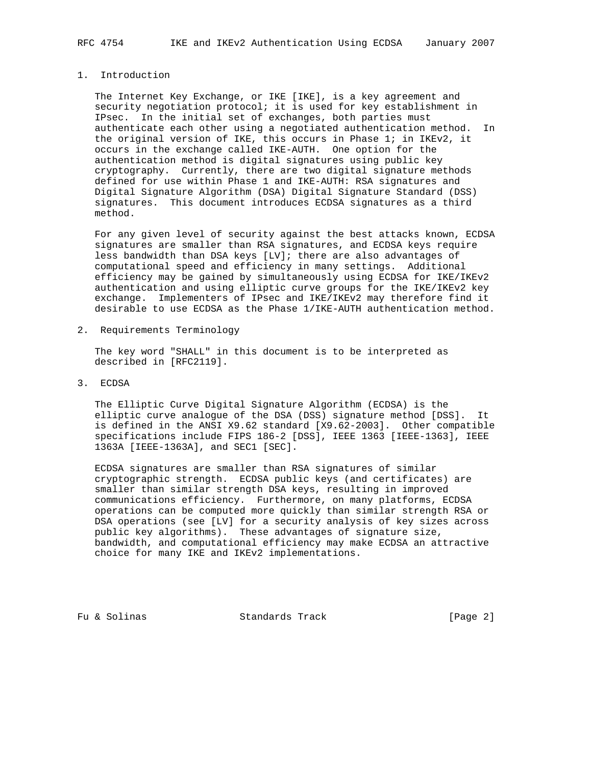## 1. Introduction

 The Internet Key Exchange, or IKE [IKE], is a key agreement and security negotiation protocol; it is used for key establishment in IPsec. In the initial set of exchanges, both parties must authenticate each other using a negotiated authentication method. In the original version of IKE, this occurs in Phase 1; in IKEv2, it occurs in the exchange called IKE-AUTH. One option for the authentication method is digital signatures using public key cryptography. Currently, there are two digital signature methods defined for use within Phase 1 and IKE-AUTH: RSA signatures and Digital Signature Algorithm (DSA) Digital Signature Standard (DSS) signatures. This document introduces ECDSA signatures as a third method.

 For any given level of security against the best attacks known, ECDSA signatures are smaller than RSA signatures, and ECDSA keys require less bandwidth than DSA keys [LV]; there are also advantages of computational speed and efficiency in many settings. Additional efficiency may be gained by simultaneously using ECDSA for IKE/IKEv2 authentication and using elliptic curve groups for the IKE/IKEv2 key exchange. Implementers of IPsec and IKE/IKEv2 may therefore find it desirable to use ECDSA as the Phase 1/IKE-AUTH authentication method.

2. Requirements Terminology

 The key word "SHALL" in this document is to be interpreted as described in [RFC2119].

3. ECDSA

 The Elliptic Curve Digital Signature Algorithm (ECDSA) is the elliptic curve analogue of the DSA (DSS) signature method [DSS]. It is defined in the ANSI X9.62 standard [X9.62-2003]. Other compatible specifications include FIPS 186-2 [DSS], IEEE 1363 [IEEE-1363], IEEE 1363A [IEEE-1363A], and SEC1 [SEC].

 ECDSA signatures are smaller than RSA signatures of similar cryptographic strength. ECDSA public keys (and certificates) are smaller than similar strength DSA keys, resulting in improved communications efficiency. Furthermore, on many platforms, ECDSA operations can be computed more quickly than similar strength RSA or DSA operations (see [LV] for a security analysis of key sizes across public key algorithms). These advantages of signature size, bandwidth, and computational efficiency may make ECDSA an attractive choice for many IKE and IKEv2 implementations.

Fu & Solinas Standards Track [Page 2]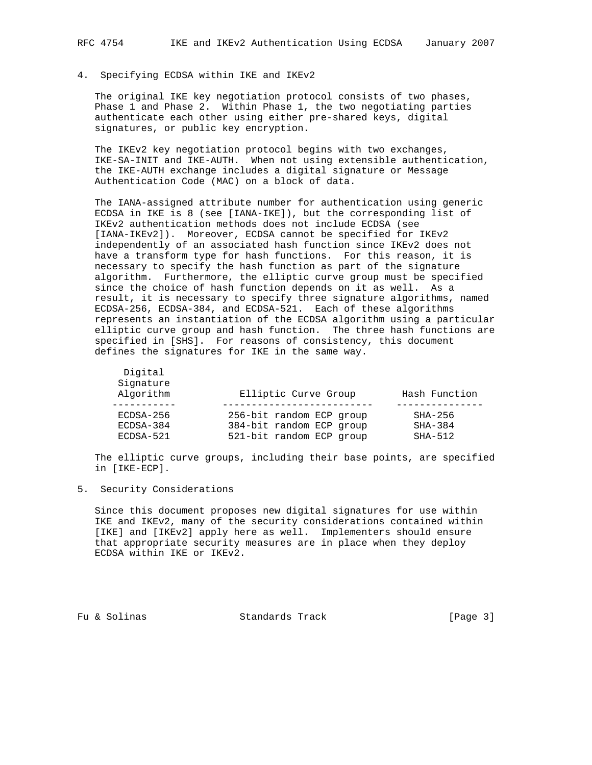# 4. Specifying ECDSA within IKE and IKEv2

 The original IKE key negotiation protocol consists of two phases, Phase 1 and Phase 2. Within Phase 1, the two negotiating parties authenticate each other using either pre-shared keys, digital signatures, or public key encryption.

 The IKEv2 key negotiation protocol begins with two exchanges, IKE-SA-INIT and IKE-AUTH. When not using extensible authentication, the IKE-AUTH exchange includes a digital signature or Message Authentication Code (MAC) on a block of data.

 The IANA-assigned attribute number for authentication using generic ECDSA in IKE is 8 (see [IANA-IKE]), but the corresponding list of IKEv2 authentication methods does not include ECDSA (see [IANA-IKEv2]). Moreover, ECDSA cannot be specified for IKEv2 independently of an associated hash function since IKEv2 does not have a transform type for hash functions. For this reason, it is necessary to specify the hash function as part of the signature algorithm. Furthermore, the elliptic curve group must be specified since the choice of hash function depends on it as well. As a result, it is necessary to specify three signature algorithms, named ECDSA-256, ECDSA-384, and ECDSA-521. Each of these algorithms represents an instantiation of the ECDSA algorithm using a particular elliptic curve group and hash function. The three hash functions are specified in [SHS]. For reasons of consistency, this document defines the signatures for IKE in the same way.

| Digital<br>Signature<br>Algorithm | Elliptic Curve Group     | Hash Function |
|-----------------------------------|--------------------------|---------------|
|                                   |                          |               |
| $ECDSA-256$                       | 256-bit random ECP group | $SHA-256$     |
| ECDSA-384                         | 384-bit random ECP group | $SHA-384$     |
| ECDSA-521                         | 521-bit random ECP group | $SHA-512$     |

 The elliptic curve groups, including their base points, are specified in [IKE-ECP].

## 5. Security Considerations

 Since this document proposes new digital signatures for use within IKE and IKEv2, many of the security considerations contained within [IKE] and [IKEv2] apply here as well. Implementers should ensure that appropriate security measures are in place when they deploy ECDSA within IKE or IKEv2.

Fu & Solinas Standards Track [Page 3]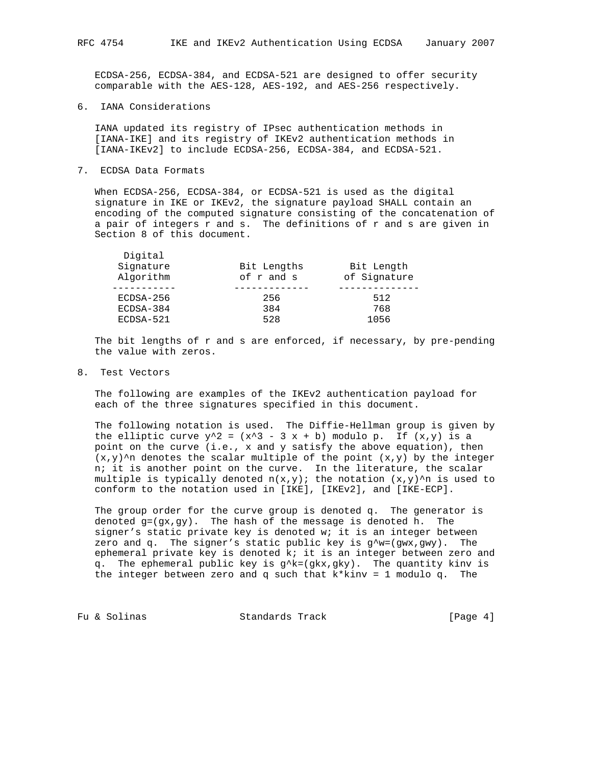ECDSA-256, ECDSA-384, and ECDSA-521 are designed to offer security comparable with the AES-128, AES-192, and AES-256 respectively.

6. IANA Considerations

 IANA updated its registry of IPsec authentication methods in [IANA-IKE] and its registry of IKEv2 authentication methods in [IANA-IKEv2] to include ECDSA-256, ECDSA-384, and ECDSA-521.

7. ECDSA Data Formats

Digital

 When ECDSA-256, ECDSA-384, or ECDSA-521 is used as the digital signature in IKE or IKEv2, the signature payload SHALL contain an encoding of the computed signature consisting of the concatenation of a pair of integers r and s. The definitions of r and s are given in Section 8 of this document.

| <b>DIATCAT</b><br>Signature<br>Algorithm | Bit Lengths<br>of r and s | Bit Length<br>of Signature |
|------------------------------------------|---------------------------|----------------------------|
| ECDSA-256<br>ECDSA-384                   | 256<br>384                | 512<br>768                 |
| ECDSA-521                                | 528                       | 1056                       |

 The bit lengths of r and s are enforced, if necessary, by pre-pending the value with zeros.

8. Test Vectors

 The following are examples of the IKEv2 authentication payload for each of the three signatures specified in this document.

 The following notation is used. The Diffie-Hellman group is given by the elliptic curve  $y^2 = (x^3 - 3x + b)$  modulo p. If  $(x,y)$  is a point on the curve (i.e., x and y satisfy the above equation), then  $(x,y)$ <sup>^n</sup> denotes the scalar multiple of the point  $(x,y)$  by the integer n; it is another point on the curve. In the literature, the scalar multiple is typically denoted  $n(x,y)$ ; the notation  $(x,y)$ 'n is used to conform to the notation used in [IKE], [IKEv2], and [IKE-ECP].

 The group order for the curve group is denoted q. The generator is denoted  $g=(gx,gy)$ . The hash of the message is denoted h. The signer's static private key is denoted w; it is an integer between zero and q. The signer's static public key is  $g^{\wedge}w=(gwx,gwy)$ . The ephemeral private key is denoted k; it is an integer between zero and q. The ephemeral public key is  $g^k = (gkx, gky)$ . The quantity kinv is the integer between zero and q such that  $k^*$ kinv = 1 modulo q. The

Fu & Solinas Standards Track (Page 4)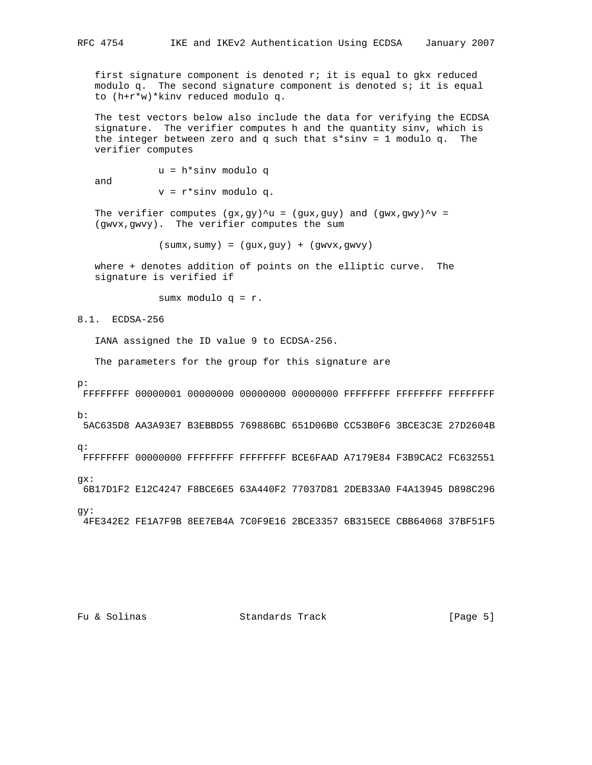first signature component is denoted  $r_i$  it is equal to gkx reduced modulo q. The second signature component is denoted s; it is equal to (h+r\*w)\*kinv reduced modulo q.

 The test vectors below also include the data for verifying the ECDSA signature. The verifier computes h and the quantity sinv, which is the integer between zero and q such that  $s*sinv = 1$  modulo q. The verifier computes

 u = h\*sinv modulo q and v = r\*sinv modulo q.

The verifier computes  $(gx, gy)^u = (gux, guy)$  and  $(gwx, gwy)^v =$ (gwvx,gwvy). The verifier computes the sum

 $(sumx,sumy) = (gux,guy) + (gwvx,gwvy)$ 

 where + denotes addition of points on the elliptic curve. The signature is verified if

sumx modulo q = r.

8.1. ECDSA-256

IANA assigned the ID value 9 to ECDSA-256.

The parameters for the group for this signature are

p:

FFFFFFFF 00000001 00000000 00000000 00000000 FFFFFFFF FFFFFFFF FFFFFFFF

b:

5AC635D8 AA3A93E7 B3EBBD55 769886BC 651D06B0 CC53B0F6 3BCE3C3E 27D2604B

q:

FFFFFFFF 00000000 FFFFFFFF FFFFFFFF BCE6FAAD A7179E84 F3B9CAC2 FC632551

gx:

6B17D1F2 E12C4247 F8BCE6E5 63A440F2 77037D81 2DEB33A0 F4A13945 D898C296

gy:

4FE342E2 FE1A7F9B 8EE7EB4A 7C0F9E16 2BCE3357 6B315ECE CBB64068 37BF51F5

Fu & Solinas Standards Track [Page 5]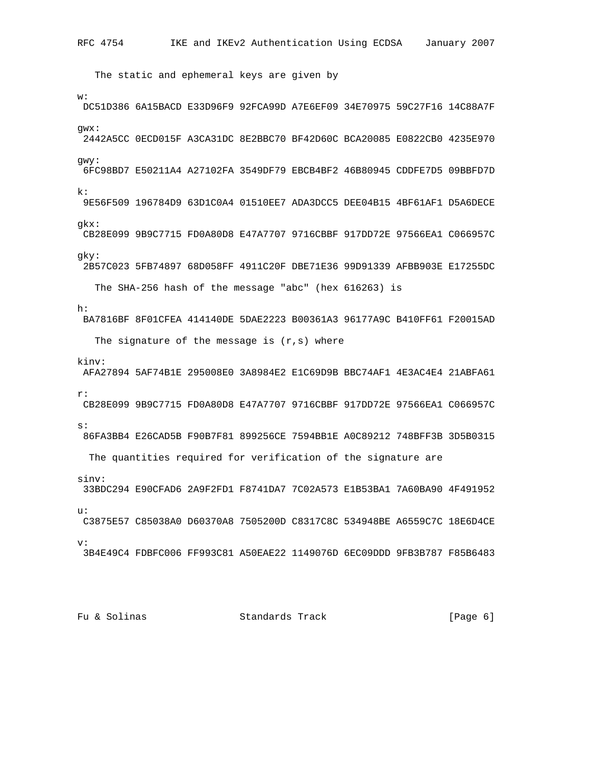The static and ephemeral keys are given by w: DC51D386 6A15BACD E33D96F9 92FCA99D A7E6EF09 34E70975 59C27F16 14C88A7F gwx: 2442A5CC 0ECD015F A3CA31DC 8E2BBC70 BF42D60C BCA20085 E0822CB0 4235E970 gwy: 6FC98BD7 E50211A4 A27102FA 3549DF79 EBCB4BF2 46B80945 CDDFE7D5 09BBFD7D k: 9E56F509 196784D9 63D1C0A4 01510EE7 ADA3DCC5 DEE04B15 4BF61AF1 D5A6DECE gkx: CB28E099 9B9C7715 FD0A80D8 E47A7707 9716CBBF 917DD72E 97566EA1 C066957C gky: 2B57C023 5FB74897 68D058FF 4911C20F DBE71E36 99D91339 AFBB903E E17255DC The SHA-256 hash of the message "abc" (hex 616263) is h: BA7816BF 8F01CFEA 414140DE 5DAE2223 B00361A3 96177A9C B410FF61 F20015AD The signature of the message is  $(r, s)$  where kinv: AFA27894 5AF74B1E 295008E0 3A8984E2 E1C69D9B BBC74AF1 4E3AC4E4 21ABFA61 r: CB28E099 9B9C7715 FD0A80D8 E47A7707 9716CBBF 917DD72E 97566EA1 C066957C s: 86FA3BB4 E26CAD5B F90B7F81 899256CE 7594BB1E A0C89212 748BFF3B 3D5B0315 The quantities required for verification of the signature are sinv: 33BDC294 E90CFAD6 2A9F2FD1 F8741DA7 7C02A573 E1B53BA1 7A60BA90 4F491952 u: C3875E57 C85038A0 D60370A8 7505200D C8317C8C 534948BE A6559C7C 18E6D4CE  $\overline{v}$ : 3B4E49C4 FDBFC006 FF993C81 A50EAE22 1149076D 6EC09DDD 9FB3B787 F85B6483

Fu & Solinas Track Track [Page 6]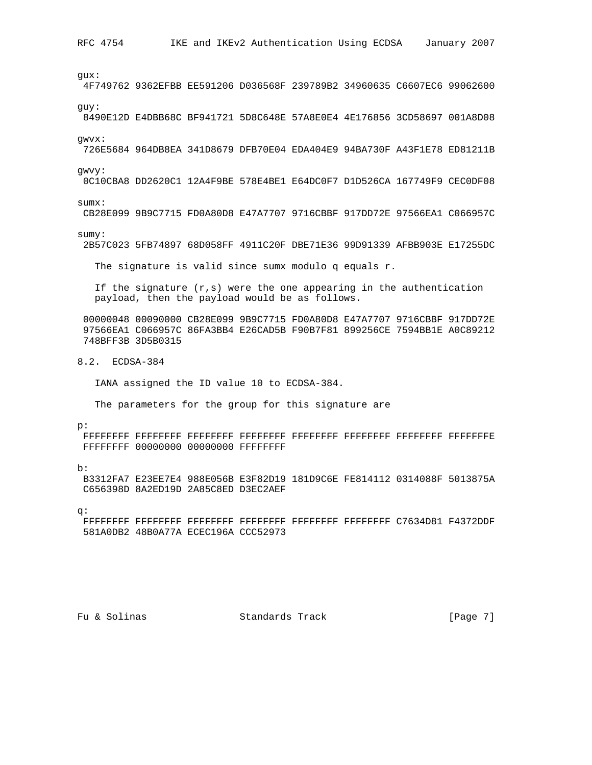gux: 4F749762 9362EFBB EE591206 D036568F 239789B2 34960635 C6607EC6 99062600 guy: 8490E12D E4DBB68C BF941721 5D8C648E 57A8E0E4 4E176856 3CD58697 001A8D08 gwvx: 726E5684 964DB8EA 341D8679 DFB70E04 EDA404E9 94BA730F A43F1E78 ED81211B gwvy: 0C10CBA8 DD2620C1 12A4F9BE 578E4BE1 E64DC0F7 D1D526CA 167749F9 CEC0DF08 sumx: CB28E099 9B9C7715 FD0A80D8 E47A7707 9716CBBF 917DD72E 97566EA1 C066957C sumy: 2B57C023 5FB74897 68D058FF 4911C20F DBE71E36 99D91339 AFBB903E E17255DC The signature is valid since sumx modulo q equals r. If the signature  $(r,s)$  were the one appearing in the authentication payload, then the payload would be as follows. 00000048 00090000 CB28E099 9B9C7715 FD0A80D8 E47A7707 9716CBBF 917DD72E 97566EA1 C066957C 86FA3BB4 E26CAD5B F90B7F81 899256CE 7594BB1E A0C89212 748BFF3B 3D5B0315 8.2. ECDSA-384 IANA assigned the ID value 10 to ECDSA-384. The parameters for the group for this signature are p: FFFFFFFF FFFFFFFF FFFFFFFF FFFFFFFF FFFFFFFF FFFFFFFF FFFFFFFF FFFFFFFE FFFFFFFF 00000000 00000000 FFFFFFFF b: B3312FA7 E23EE7E4 988E056B E3F82D19 181D9C6E FE814112 0314088F 5013875A C656398D 8A2ED19D 2A85C8ED D3EC2AEF q: FFFFFFFF FFFFFFFF FFFFFFFF FFFFFFFF FFFFFFFF FFFFFFFF C7634D81 F4372DDF 581A0DB2 48B0A77A ECEC196A CCC52973

Fu & Solinas Standards Track Fu & Solinas Standards Track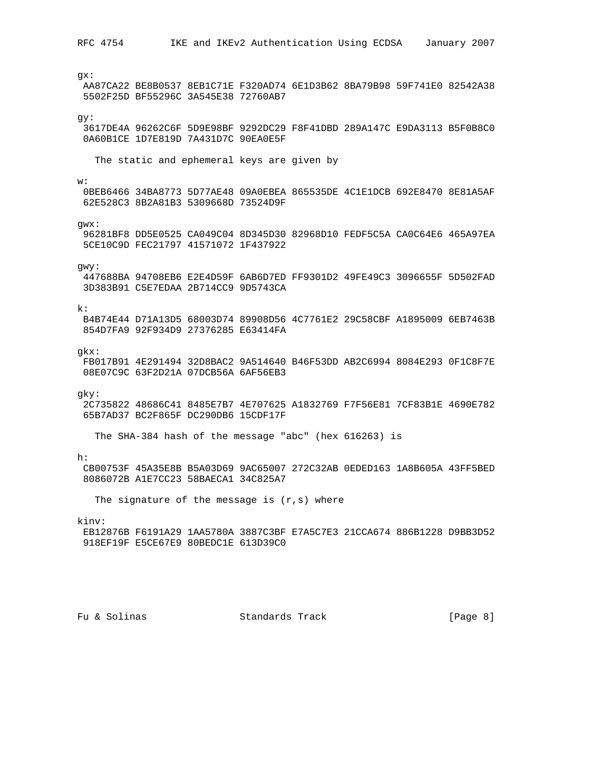RFC 4754 IKE and IKEv2 Authentication Using ECDSA January 2007 gx: AA87CA22 BE8B0537 8EB1C71E F320AD74 6E1D3B62 8BA79B98 59F741E0 82542A38 5502F25D BF55296C 3A545E38 72760AB7 gy: 3617DE4A 96262C6F 5D9E98BF 9292DC29 F8F41DBD 289A147C E9DA3113 B5F0B8C0 0A60B1CE 1D7E819D 7A431D7C 90EA0E5F The static and ephemeral keys are given by w: 0BEB6466 34BA8773 5D77AE48 09A0EBEA 865535DE 4C1E1DCB 692E8470 8E81A5AF 62E528C3 8B2A81B3 5309668D 73524D9F gwx: 96281BF8 DD5E0525 CA049C04 8D345D30 82968D10 FEDF5C5A CA0C64E6 465A97EA 5CE10C9D FEC21797 41571072 1F437922 gwy: 447688BA 94708EB6 E2E4D59F 6AB6D7ED FF9301D2 49FE49C3 3096655F 5D502FAD 3D383B91 C5E7EDAA 2B714CC9 9D5743CA  $k$ : B4B74E44 D71A13D5 68003D74 89908D56 4C7761E2 29C58CBF A1895009 6EB7463B 854D7FA9 92F934D9 27376285 E63414FA gkx: FB017B91 4E291494 32D8BAC2 9A514640 B46F53DD AB2C6994 8084E293 0F1C8F7E 08E07C9C 63F2D21A 07DCB56A 6AF56EB3 gky: 2C735822 48686C41 8485E7B7 4E707625 A1832769 F7F56E81 7CF83B1E 4690E782 65B7AD37 BC2F865F DC290DB6 15CDF17F The SHA-384 hash of the message "abc" (hex 616263) is h: CB00753F 45A35E8B B5A03D69 9AC65007 272C32AB 0EDED163 1A8B605A 43FF5BED 8086072B A1E7CC23 58BAECA1 34C825A7 The signature of the message is  $(r, s)$  where kinv: EB12876B F6191A29 1AA5780A 3887C3BF E7A5C7E3 21CCA674 886B1228 D9BB3D52 918EF19F E5CE67E9 80BEDC1E 613D39C0

Fu & Solinas Track Track [Page 8]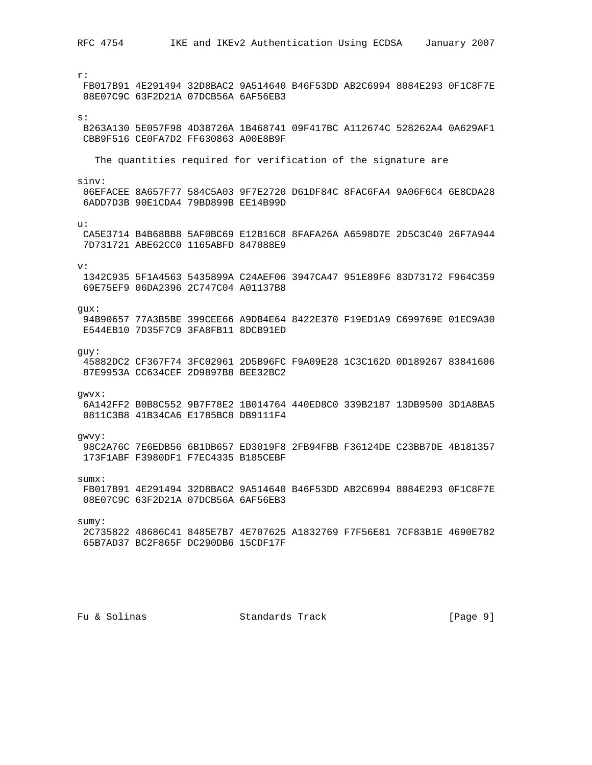RFC 4754 IKE and IKEv2 Authentication Using ECDSA January 2007  $r$ : FB017B91 4E291494 32D8BAC2 9A514640 B46F53DD AB2C6994 8084E293 0F1C8F7E 08E07C9C 63F2D21A 07DCB56A 6AF56EB3  $s:$ B263A130 5E057F98 4D38726A 1B468741 09F417BC A112674C 528262A4 0A629AF1 CBB9F516 CE0FA7D2 FF630863 A00E8B9F The quantities required for verification of the signature are sinv: 06EFACEE 8A657F77 584C5A03 9F7E2720 D61DF84C 8FAC6FA4 9A06F6C4 6E8CDA28 6ADD7D3B 90E1CDA4 79BD899B EE14B99D  $\overline{11}$ : CA5E3714 B4B68BB8 5AF0BC69 E12B16C8 8FAFA26A A6598D7E 2D5C3C40 26F7A944 7D731721 ABE62CC0 1165ABFD 847088E9  $V:$ 1342C935 5F1A4563 5435899A C24AEF06 3947CA47 951E89F6 83D73172 F964C359 69E75EF9 06DA2396 2C747C04 A01137B8  $gux:$ 94B90657 77A3B5BE 399CEE66 A9DB4E64 8422E370 F19ED1A9 C699769E 01EC9A30 E544EB10 7D35F7C9 3FA8FB11 8DCB91ED guy: 45882DC2 CF367F74 3FC02961 2D5B96FC F9A09E28 1C3C162D 0D189267 83841606 87E9953A CC634CEF 2D9897B8 BEE32BC2 gwvx: 6A142FF2 B0B8C552 9B7F78E2 1B014764 440ED8C0 339B2187 13DB9500 3D1A8BA5 0811C3B8 41B34CA6 E1785BC8 DB9111F4 gwvy: 98C2A76C 7E6EDB56 6B1DB657 ED3019F8 2FB94FBB F36124DE C23BB7DE 4B181357 173F1ABF F3980DF1 F7EC4335 B185CEBF  $sumx$ : FB017B91 4E291494 32D8BAC2 9A514640 B46F53DD AB2C6994 8084E293 0F1C8F7E 08E07C9C 63F2D21A 07DCB56A 6AF56EB3  $sumy$ : 2C735822 48686C41 8485E7B7 4E707625 A1832769 F7F56E81 7CF83B1E 4690E782 65B7AD37 BC2F865F DC290DB6 15CDF17F

Fu & Solinas

Standards Track

 $[Page 9]$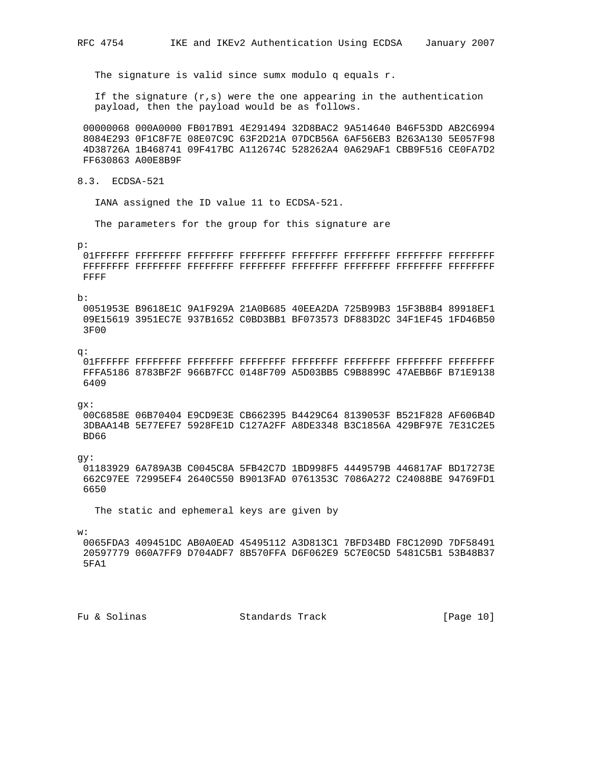The signature is valid since sumx modulo q equals r.

If the signature  $(r,s)$  were the one appearing in the authentication payload, then the payload would be as follows.

 00000068 000A0000 FB017B91 4E291494 32D8BAC2 9A514640 B46F53DD AB2C6994 8084E293 0F1C8F7E 08E07C9C 63F2D21A 07DCB56A 6AF56EB3 B263A130 5E057F98 4D38726A 1B468741 09F417BC A112674C 528262A4 0A629AF1 CBB9F516 CE0FA7D2 FF630863 A00E8B9F

8.3. ECDSA-521

IANA assigned the ID value 11 to ECDSA-521.

The parameters for the group for this signature are

#### p:

 01FFFFFF FFFFFFFF FFFFFFFF FFFFFFFF FFFFFFFF FFFFFFFF FFFFFFFF FFFFFFFF FFFFFFFF FFFFFFFF FFFFFFFF FFFFFFFF FFFFFFFF FFFFFFFF FFFFFFFF FFFFFFFF FFFF

### b:

 0051953E B9618E1C 9A1F929A 21A0B685 40EEA2DA 725B99B3 15F3B8B4 89918EF1 09E15619 3951EC7E 937B1652 C0BD3BB1 BF073573 DF883D2C 34F1EF45 1FD46B50 3F00

### q:

 01FFFFFF FFFFFFFF FFFFFFFF FFFFFFFF FFFFFFFF FFFFFFFF FFFFFFFF FFFFFFFF FFFA5186 8783BF2F 966B7FCC 0148F709 A5D03BB5 C9B8899C 47AEBB6F B71E9138 6409

### gx:

 00C6858E 06B70404 E9CD9E3E CB662395 B4429C64 8139053F B521F828 AF606B4D 3DBAA14B 5E77EFE7 5928FE1D C127A2FF A8DE3348 B3C1856A 429BF97E 7E31C2E5 BD66

gy:

 01183929 6A789A3B C0045C8A 5FB42C7D 1BD998F5 4449579B 446817AF BD17273E 662C97EE 72995EF4 2640C550 B9013FAD 0761353C 7086A272 C24088BE 94769FD1 6650

The static and ephemeral keys are given by

## w:

 0065FDA3 409451DC AB0A0EAD 45495112 A3D813C1 7BFD34BD F8C1209D 7DF58491 20597779 060A7FF9 D704ADF7 8B570FFA D6F062E9 5C7E0C5D 5481C5B1 53B48B37 5FA1

Fu & Solinas Standards Track [Page 10]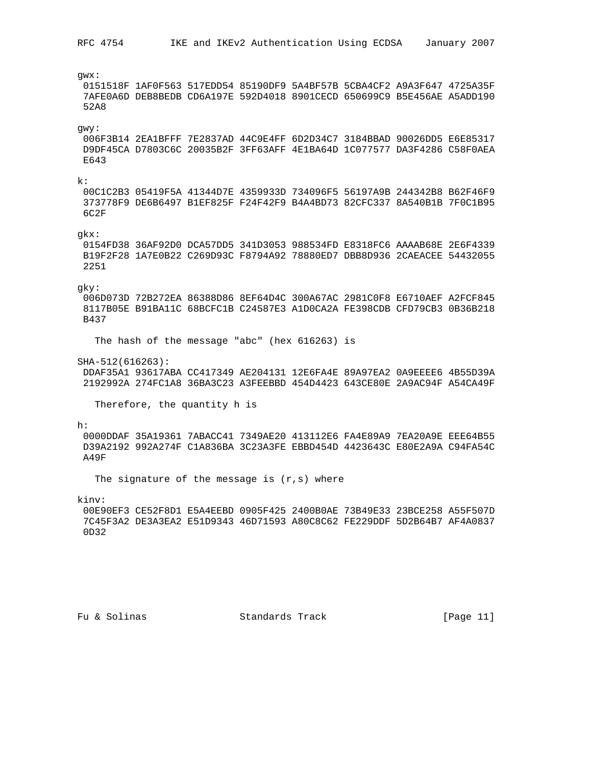RFC 4754 IKE and IKEv2 Authentication Using ECDSA January 2007  $g$ wx: 0151518F 1AF0F563 517EDD54 85190DF9 5A4BF57B 5CBA4CF2 A9A3F647 4725A35F 7AFE0A6D DEB8BEDB CD6A197E 592D4018 8901CECD 650699C9 B5E456AE A5ADD190 52A8  $gwy:$ 006F3B14 2EA1BFFF 7E2837AD 44C9E4FF 6D2D34C7 3184BBAD 90026DD5 E6E85317 D9DF45CA D7803C6C 20035B2F 3FF63AFF 4E1BA64D 1C077577 DA3F4286 C58F0AEA  $F.643$  $k:$ 00C1C2B3 05419F5A 41344D7E 4359933D 734096F5 56197A9B 244342B8 B62F46F9 373778F9 DE6B6497 B1EF825F F24F42F9 B4A4BD73 82CFC337 8A540B1B 7F0C1B95 6C2F

 $qkx$ :

0154FD38 36AF92D0 DCA57DD5 341D3053 988534FD E8318FC6 AAAAB68E 2E6F4339 B19F2F28 1A7E0B22 C269D93C F8794A92 78880ED7 DBB8D936 2CAEACEE 54432055 2251

qky:

006D073D 72B272EA 86388D86 8EF64D4C 300A67AC 2981C0F8 E6710AEF A2FCF845 8117B05E B91BA11C 68BCFC1B C24587E3 A1D0CA2A FE398CDB CFD79CB3 0B36B218 B437

The hash of the message "abc" (hex 616263) is

SHA-512(616263):

DDAF35A1 93617ABA CC417349 AE204131 12E6FA4E 89A97EA2 0A9EEEE6 4B55D39A 2192992A 274FC1A8 36BA3C23 A3FEEBBD 454D4423 643CE80E 2A9AC94F A54CA49F

Therefore, the quantity h is

 $h$ :

0000DDAF 35A19361 7ABACC41 7349AE20 413112E6 FA4E89A9 7EA20A9E EEE64B55 D39A2192 992A274F C1A836BA 3C23A3FE EBBD454D 4423643C E80E2A9A C94FA54C A49F

The signature of the message is  $(r, s)$  where

kinv:

00E90EF3 CE52F8D1 E5A4EEBD 0905F425 2400B0AE 73B49E33 23BCE258 A55F507D 7C45F3A2 DE3A3EA2 E51D9343 46D71593 A80C8C62 FE229DDF 5D2B64B7 AF4A0837  $OD32$ 

Fu & Solinas

Standards Track

 $[Page 11]$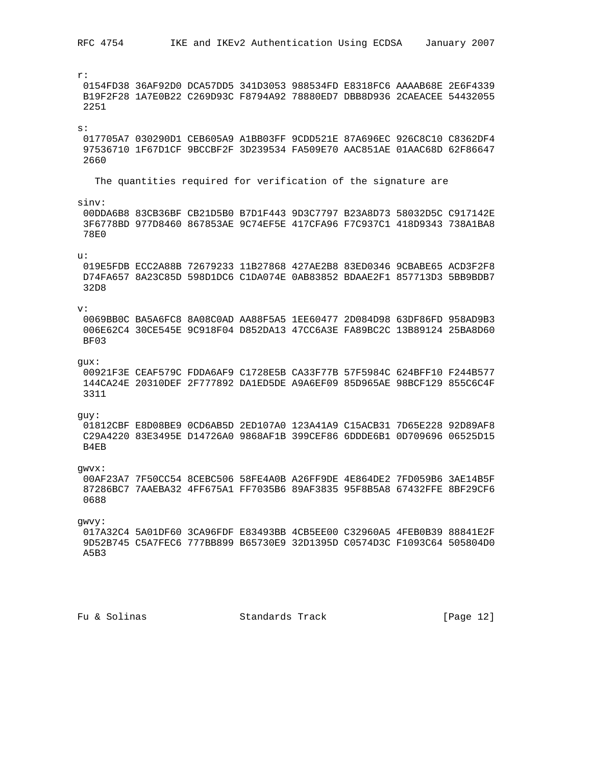$r$ : 0154FD38 36AF92D0 DCA57DD5 341D3053 988534FD E8318FC6 AAAAB68E 2E6F4339 B19F2F28 1A7E0B22 C269D93C F8794A92 78880ED7 DBB8D936 2CAEACEE 54432055 2251  $\mathbf{s}$ : 017705A7 030290D1 CEB605A9 A1BB03FF 9CDD521E 87A696EC 926C8C10 C8362DF4 97536710 1F67D1CF 9BCCBF2F 3D239534 FA509E70 AAC851AE 01AAC68D 62F86647 2660 The quantities required for verification of the signature are sinv: 00DDA6B8 83CB36BF CB21D5B0 B7D1F443 9D3C7797 B23A8D73 58032D5C C917142E 3F6778BD 977D8460 867853AE 9C74EF5E 417CFA96 F7C937C1 418D9343 738A1BA8 78F.O  $11:$ 019E5FDB ECC2A88B 72679233 11B27868 427AE2B8 83ED0346 9CBABE65 ACD3F2F8 D74FA657 8A23C85D 598D1DC6 C1DA074E 0AB83852 BDAAE2F1 857713D3 5BB9BDB7 32D8  $V:$ 0069BB0C BA5A6FC8 8A08C0AD AA88F5A5 1EE60477 2D084D98 63DF86FD 958AD9B3 006E62C4 30CE545E 9C918F04 D852DA13 47CC6A3E FA89BC2C 13B89124 25BA8D60 BF03 qux: 00921F3E CEAF579C FDDA6AF9 C1728E5B CA33F77B 57F5984C 624BFF10 F244B577 144CA24E 20310DEF 2F777892 DA1ED5DE A9A6EF09 85D965AE 98BCF129 855C6C4F 3311 guy: 01812CBF E8D08BE9 0CD6AB5D 2ED107A0 123A41A9 C15ACB31 7D65E228 92D89AF8 C29A4220 83E3495E D14726A0 9868AF1B 399CEF86 6DDDE6B1 0D709696 06525D15 B4EB qwvx: 00AF23A7 7F50CC54 8CEBC506 58FE4A0B A26FF9DE 4E864DE2 7FD059B6 3AE14B5F 87286BC7 7AAEBA32 4FF675A1 FF7035B6 89AF3835 95F8B5A8 67432FFE 8BF29CF6 0688 gwvy: 017A32C4 5A01DF60 3CA96FDF E83493BB 4CB5EE00 C32960A5 4FEB0B39 88841E2F 9D52B745 C5A7FEC6 777BB899 B65730E9 32D1395D C0574D3C F1093C64 505804D0 A5B3

Standards Track

[Page 12]

Fu & Solinas

RFC 4754 IKE and IKEv2 Authentication Using ECDSA January 2007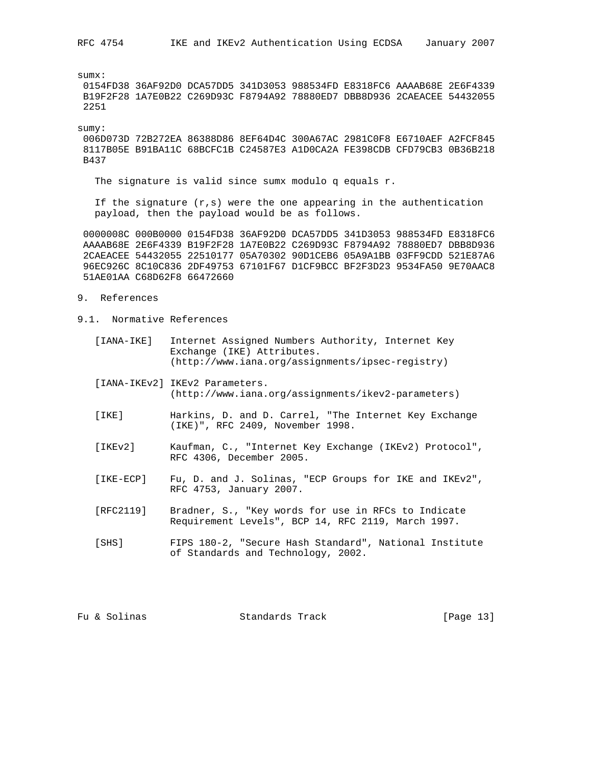sumx:

 0154FD38 36AF92D0 DCA57DD5 341D3053 988534FD E8318FC6 AAAAB68E 2E6F4339 B19F2F28 1A7E0B22 C269D93C F8794A92 78880ED7 DBB8D936 2CAEACEE 54432055 2251

sumy:

 006D073D 72B272EA 86388D86 8EF64D4C 300A67AC 2981C0F8 E6710AEF A2FCF845 8117B05E B91BA11C 68BCFC1B C24587E3 A1D0CA2A FE398CDB CFD79CB3 0B36B218 B437

The signature is valid since sumx modulo q equals r.

If the signature  $(r,s)$  were the one appearing in the authentication payload, then the payload would be as follows.

 0000008C 000B0000 0154FD38 36AF92D0 DCA57DD5 341D3053 988534FD E8318FC6 AAAAB68E 2E6F4339 B19F2F28 1A7E0B22 C269D93C F8794A92 78880ED7 DBB8D936 2CAEACEE 54432055 22510177 05A70302 90D1CEB6 05A9A1BB 03FF9CDD 521E87A6 96EC926C 8C10C836 2DF49753 67101F67 D1CF9BCC BF2F3D23 9534FA50 9E70AAC8 51AE01AA C68D62F8 66472660

- 9. References
- 9.1. Normative References
	- [IANA-IKE] Internet Assigned Numbers Authority, Internet Key Exchange (IKE) Attributes. (http://www.iana.org/assignments/ipsec-registry)
	- [IANA-IKEv2] IKEv2 Parameters. (http://www.iana.org/assignments/ikev2-parameters)
	- [IKE] Harkins, D. and D. Carrel, "The Internet Key Exchange (IKE)", RFC 2409, November 1998.
	- [IKEv2] Kaufman, C., "Internet Key Exchange (IKEv2) Protocol", RFC 4306, December 2005.
	- [IKE-ECP] Fu, D. and J. Solinas, "ECP Groups for IKE and IKEv2", RFC 4753, January 2007.
	- [RFC2119] Bradner, S., "Key words for use in RFCs to Indicate Requirement Levels", BCP 14, RFC 2119, March 1997.
	- [SHS] FIPS 180-2, "Secure Hash Standard", National Institute of Standards and Technology, 2002.

Fu & Solinas Standards Track [Page 13]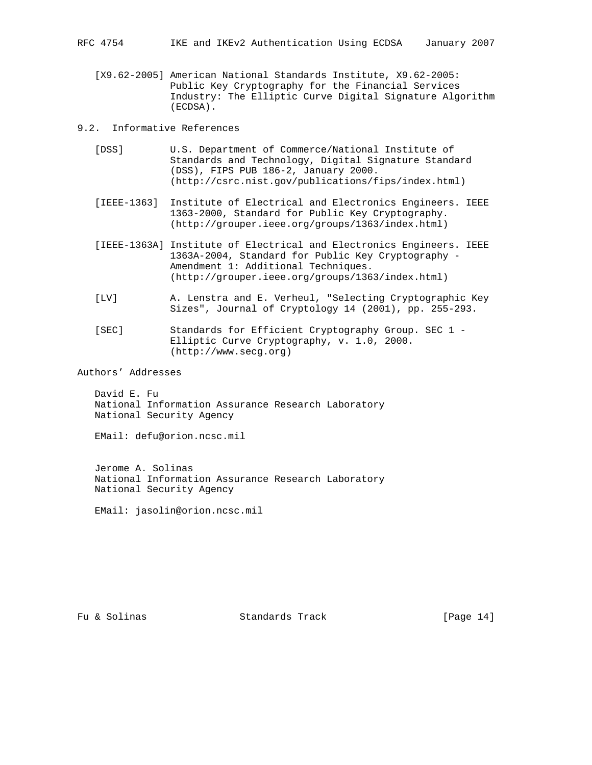[X9.62-2005] American National Standards Institute, X9.62-2005: Public Key Cryptography for the Financial Services Industry: The Elliptic Curve Digital Signature Algorithm (ECDSA).

9.2. Informative References

- [DSS] U.S. Department of Commerce/National Institute of Standards and Technology, Digital Signature Standard (DSS), FIPS PUB 186-2, January 2000. (http://csrc.nist.gov/publications/fips/index.html)
- [IEEE-1363] Institute of Electrical and Electronics Engineers. IEEE 1363-2000, Standard for Public Key Cryptography. (http://grouper.ieee.org/groups/1363/index.html)
- [IEEE-1363A] Institute of Electrical and Electronics Engineers. IEEE 1363A-2004, Standard for Public Key Cryptography - Amendment 1: Additional Techniques. (http://grouper.ieee.org/groups/1363/index.html)
- [LV] A. Lenstra and E. Verheul, "Selecting Cryptographic Key Sizes", Journal of Cryptology 14 (2001), pp. 255-293.
- [SEC] Standards for Efficient Cryptography Group. SEC 1 Elliptic Curve Cryptography, v. 1.0, 2000. (http://www.secg.org)

Authors' Addresses

 David E. Fu National Information Assurance Research Laboratory National Security Agency

EMail: defu@orion.ncsc.mil

 Jerome A. Solinas National Information Assurance Research Laboratory National Security Agency

EMail: jasolin@orion.ncsc.mil

Fu & Solinas Standards Track [Page 14]